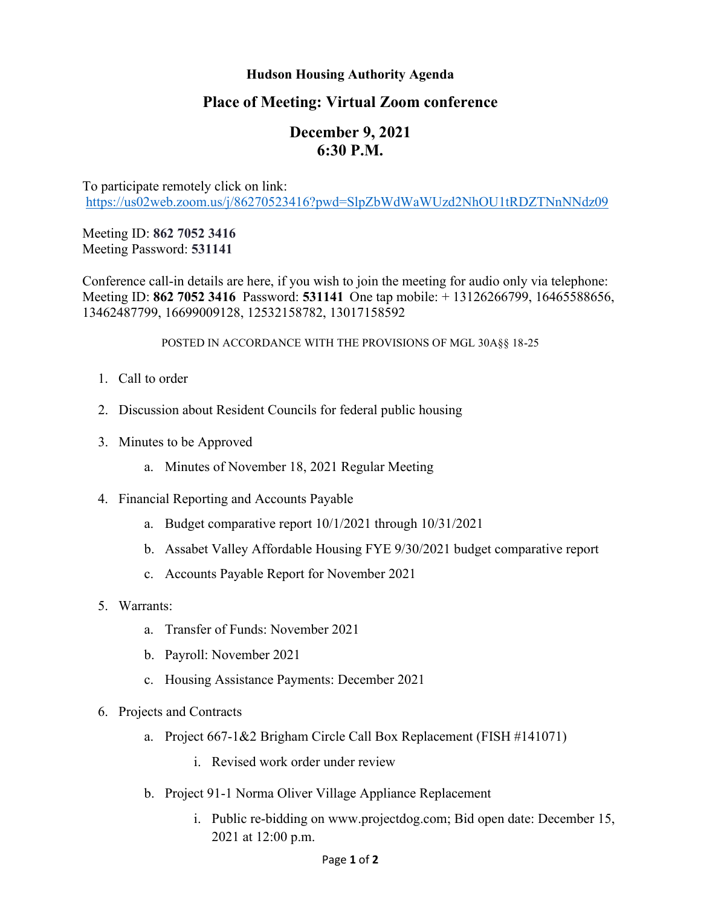## **Hudson Housing Authority Agenda**

## **Place of Meeting: Virtual Zoom conference**

# **December 9, 2021 6:30 P.M.**

To participate remotely click on link: <https://us02web.zoom.us/j/86270523416?pwd=SlpZbWdWaWUzd2NhOU1tRDZTNnNNdz09>

Meeting ID: **862 7052 3416** Meeting Password: **531141**

Conference call-in details are here, if you wish to join the meeting for audio only via telephone: Meeting ID: **862 7052 3416** Password: **531141** One tap mobile: + 13126266799, 16465588656, 13462487799, 16699009128, 12532158782, 13017158592

#### POSTED IN ACCORDANCE WITH THE PROVISIONS OF MGL 30A§§ 18-25

- 1. Call to order
- 2. Discussion about Resident Councils for federal public housing
- 3. Minutes to be Approved
	- a. Minutes of November 18, 2021 Regular Meeting
- 4. Financial Reporting and Accounts Payable
	- a. Budget comparative report 10/1/2021 through 10/31/2021
	- b. Assabet Valley Affordable Housing FYE 9/30/2021 budget comparative report
	- c. Accounts Payable Report for November 2021
- 5. Warrants:
	- a. Transfer of Funds: November 2021
	- b. Payroll: November 2021
	- c. Housing Assistance Payments: December 2021
- 6. Projects and Contracts
	- a. Project 667-1&2 Brigham Circle Call Box Replacement (FISH #141071)
		- i. Revised work order under review
	- b. Project 91-1 Norma Oliver Village Appliance Replacement
		- i. Public re-bidding on www.projectdog.com; Bid open date: December 15, 2021 at 12:00 p.m.